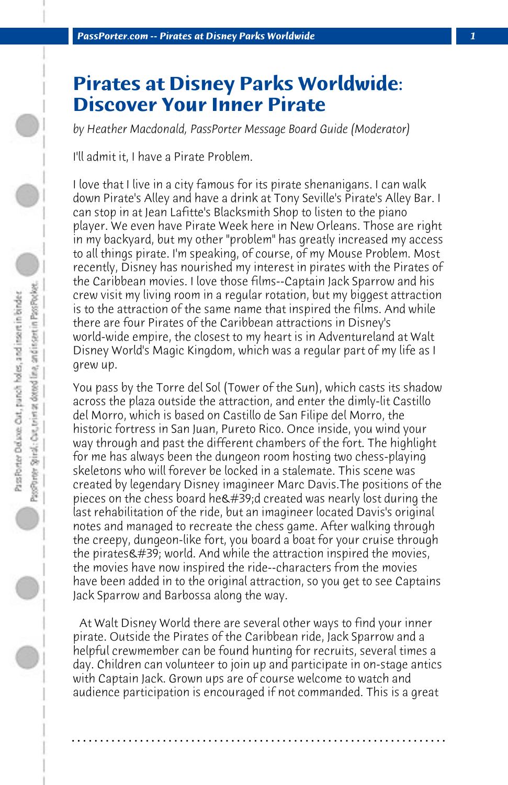## **Pirates at Disney Parks Worldwide: Discover Your Inner Pirate**

*by Heather Macdonald, PassPorter Message Board Guide (Moderator)*

I'll admit it, I have a Pirate Problem.

I love that I live in a city famous for its pirate shenanigans. I can walk down Pirate's Alley and have a drink at Tony Seville's Pirate's Alley Bar. I can stop in at Jean Lafitte's Blacksmith Shop to listen to the piano player. We even have Pirate Week here in New Orleans. Those are right in my backyard, but my other "problem" has greatly increased my access to all things pirate. I'm speaking, of course, of my Mouse Problem. Most recently, Disney has nourished my interest in pirates with the Pirates of the Caribbean movies. I love those films--Captain Jack Sparrow and his crew visit my living room in a regular rotation, but my biggest attraction is to the attraction of the same name that inspired the films. And while there are four Pirates of the Caribbean attractions in Disney's world-wide empire, the closest to my heart is in Adventureland at Walt Disney World's Magic Kingdom, which was a regular part of my life as I grew up.

You pass by the Torre del Sol (Tower of the Sun), which casts its shadow across the plaza outside the attraction, and enter the dimly-lit Castillo del Morro, which is based on Castillo de San Filipe del Morro, the historic fortress in San Juan, Pureto Rico. Once inside, you wind your way through and past the different chambers of the fort. The highlight for me has always been the dungeon room hosting two chess-playing skeletons who will forever be locked in a stalemate. This scene was created by legendary Disney imagineer Marc Davis.The positions of the pieces on the chess board he  $\&\#39$ ; d created was nearly lost during the last rehabilitation of the ride, but an imagineer located Davis's original notes and managed to recreate the chess game. After walking through the creepy, dungeon-like fort, you board a boat for your cruise through the pirates $\&$ #39; world. And while the attraction inspired the movies, the movies have now inspired the ride--characters from the movies have been added in to the original attraction, so you get to see Captains Jack Sparrow and Barbossa along the way.

 At Walt Disney World there are several other ways to find your inner pirate. Outside the Pirates of the Caribbean ride, Jack Sparrow and a helpful crewmember can be found hunting for recruits, several times a day. Children can volunteer to join up and participate in on-stage antics with Captain Jack. Grown ups are of course welcome to watch and audience participation is encouraged if not commanded. This is a great

**. . . . . . . . . . . . . . . . . . . . . . . . . . . . . . . . . . . . . . . . . . . . . . . . . . . . . . . . . . . . . . . . . .**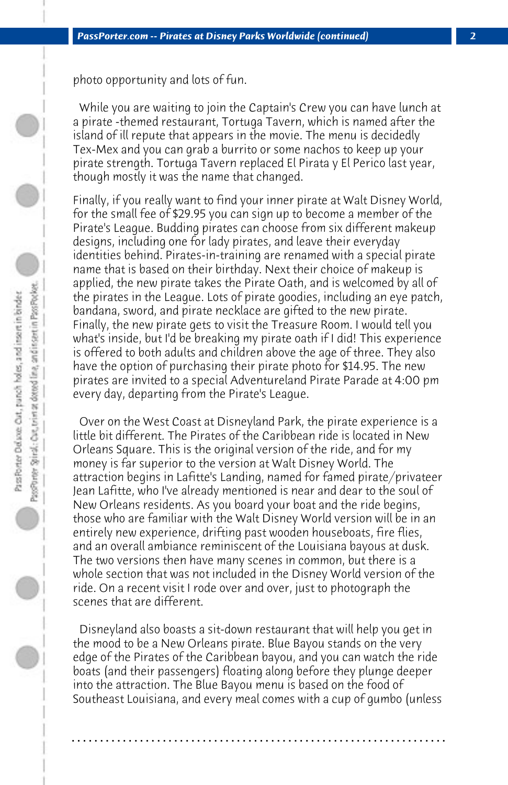photo opportunity and lots of fun.

 While you are waiting to join the Captain's Crew you can have lunch at a pirate -themed restaurant, Tortuga Tavern, which is named after the island of ill repute that appears in the movie. The menu is decidedly Tex-Mex and you can grab a burrito or some nachos to keep up your pirate strength. Tortuga Tavern replaced El Pirata y El Perico last year, though mostly it was the name that changed.

Finally, if you really want to find your inner pirate at Walt Disney World, for the small fee of \$29.95 you can sign up to become a member of the Pirate's League. Budding pirates can choose from six different makeup designs, including one for lady pirates, and leave their everyday identities behind. Pirates-in-training are renamed with a special pirate name that is based on their birthday. Next their choice of makeup is applied, the new pirate takes the Pirate Oath, and is welcomed by all of the pirates in the League. Lots of pirate goodies, including an eye patch, bandana, sword, and pirate necklace are gifted to the new pirate. Finally, the new pirate gets to visit the Treasure Room. I would tell you what's inside, but I'd be breaking my pirate oath if I did! This experience is offered to both adults and children above the age of three. They also have the option of purchasing their pirate photo for \$14.95. The new pirates are invited to a special Adventureland Pirate Parade at 4:00 pm every day, departing from the Pirate's League.

 Over on the West Coast at Disneyland Park, the pirate experience is a little bit different. The Pirates of the Caribbean ride is located in New Orleans Square. This is the original version of the ride, and for my money is far superior to the version at Walt Disney World. The attraction begins in Lafitte's Landing, named for famed pirate/privateer Jean Lafitte, who I've already mentioned is near and dear to the soul of New Orleans residents. As you board your boat and the ride begins, those who are familiar with the Walt Disney World version will be in an entirely new experience, drifting past wooden houseboats, fire flies, and an overall ambiance reminiscent of the Louisiana bayous at dusk. The two versions then have many scenes in common, but there is a whole section that was not included in the Disney World version of the ride. On a recent visit I rode over and over, just to photograph the scenes that are different.

 Disneyland also boasts a sit-down restaurant that will help you get in the mood to be a New Orleans pirate. Blue Bayou stands on the very edge of the Pirates of the Caribbean bayou, and you can watch the ride boats (and their passengers) floating along before they plunge deeper into the attraction. The Blue Bayou menu is based on the food of Southeast Louisiana, and every meal comes with a cup of gumbo (unless

**. . . . . . . . . . . . . . . . . . . . . . . . . . . . . . . . . . . . . . . . . . . . . . . . . . . . . . . . . . . . . . . . . .**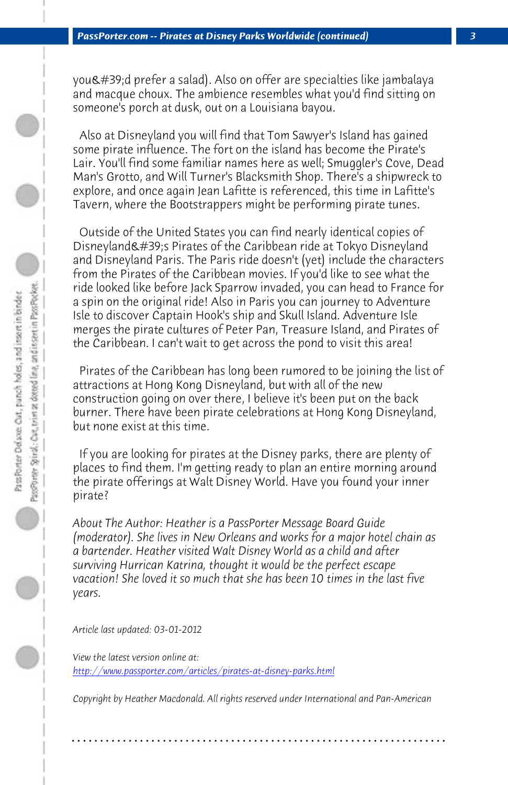*PassPorter.com -- Pirates at Disney Parks Worldwide (continued) 3*

you'd prefer a salad). Also on offer are specialties like jambalaya and macque choux. The ambience resembles what you'd find sitting on someone's porch at dusk, out on a Louisiana bayou.

 Also at Disneyland you will find that Tom Sawyer's Island has gained some pirate influence. The fort on the island has become the Pirate's Lair. You'll find some familiar names here as well; Smuggler's Cove, Dead Man's Grotto, and Will Turner's Blacksmith Shop. There's a shipwreck to explore, and once again Jean Lafitte is referenced, this time in Lafitte's Tavern, where the Bootstrappers might be performing pirate tunes.

 Outside of the United States you can find nearly identical copies of Disneyland's Pirates of the Caribbean ride at Tokyo Disneyland and Disneyland Paris. The Paris ride doesn't (yet) include the characters from the Pirates of the Caribbean movies. If you'd like to see what the ride looked like before Jack Sparrow invaded, you can head to France for a spin on the original ride! Also in Paris you can journey to Adventure Isle to discover Captain Hook's ship and Skull Island. Adventure Isle merges the pirate cultures of Peter Pan, Treasure Island, and Pirates of the Caribbean. I can't wait to get across the pond to visit this area!

 Pirates of the Caribbean has long been rumored to be joining the list of attractions at Hong Kong Disneyland, but with all of the new construction going on over there, I believe it's been put on the back burner. There have been pirate celebrations at Hong Kong Disneyland, but none exist at this time.

 If you are looking for pirates at the Disney parks, there are plenty of places to find them. I'm getting ready to plan an entire morning around the pirate offerings at Walt Disney World. Have you found your inner pirate?

*About The Author: Heather is a PassPorter Message Board Guide (moderator). She lives in New Orleans and works for a major hotel chain as a bartender. Heather visited Walt Disney World as a child and after surviving Hurrican Katrina, thought it would be the perfect escape vacation! She loved it so much that she has been 10 times in the last five years.*

*Article last updated: 03-01-2012*

*View the latest version online at: http://www.passporter.com/articles/pirates-at-disney-parks.html*

*Copyright by Heather Macdonald. All rights reserved under International and Pan-American*

**. . . . . . . . . . . . . . . . . . . . . . . . . . . . . . . . . . . . . . . . . . . . . . . . . . . . . . . . . . . . . . . . . .**